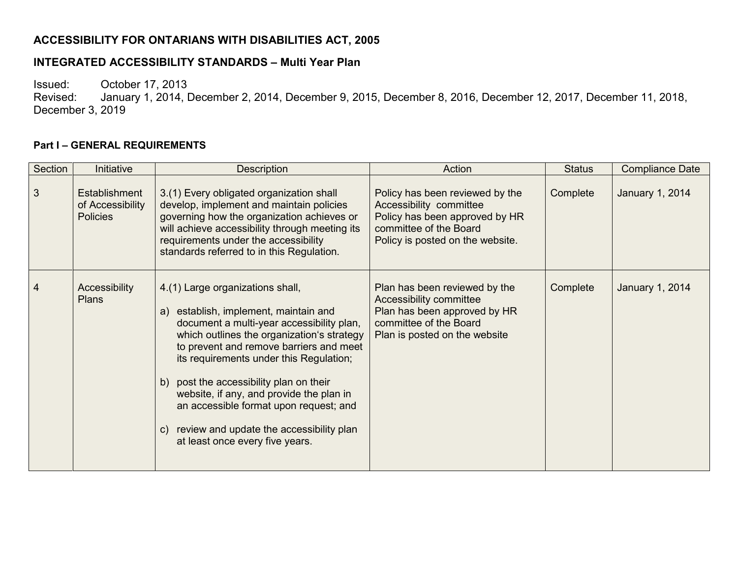## **ACCESSIBILITY FOR ONTARIANS WITH DISABILITIES ACT, 2005**

#### **INTEGRATED ACCESSIBILITY STANDARDS – Multi Year Plan**

Issued: Cortober 17, 2013<br>Revised: January 1, 2014, I

January 1, 2014, December 2, 2014, December 9, 2015, December 8, 2016, December 12, 2017, December 11, 2018, December 3, 2019

#### **Part I – GENERAL REQUIREMENTS**

| Section | Initiative                                           | <b>Description</b>                                                                                                                                                                                                                                                                                                                                                                                                                                                               | Action                                                                                                                                                     | <b>Status</b> | <b>Compliance Date</b> |
|---------|------------------------------------------------------|----------------------------------------------------------------------------------------------------------------------------------------------------------------------------------------------------------------------------------------------------------------------------------------------------------------------------------------------------------------------------------------------------------------------------------------------------------------------------------|------------------------------------------------------------------------------------------------------------------------------------------------------------|---------------|------------------------|
| 3       | Establishment<br>of Accessibility<br><b>Policies</b> | 3.(1) Every obligated organization shall<br>develop, implement and maintain policies<br>governing how the organization achieves or<br>will achieve accessibility through meeting its<br>requirements under the accessibility<br>standards referred to in this Regulation.                                                                                                                                                                                                        | Policy has been reviewed by the<br>Accessibility committee<br>Policy has been approved by HR<br>committee of the Board<br>Policy is posted on the website. | Complete      | <b>January 1, 2014</b> |
| 4       | Accessibility<br><b>Plans</b>                        | 4.(1) Large organizations shall,<br>a) establish, implement, maintain and<br>document a multi-year accessibility plan,<br>which outlines the organization's strategy<br>to prevent and remove barriers and meet<br>its requirements under this Regulation;<br>b) post the accessibility plan on their<br>website, if any, and provide the plan in<br>an accessible format upon request; and<br>review and update the accessibility plan<br>C)<br>at least once every five years. | Plan has been reviewed by the<br>Accessibility committee<br>Plan has been approved by HR<br>committee of the Board<br>Plan is posted on the website        | Complete      | January 1, 2014        |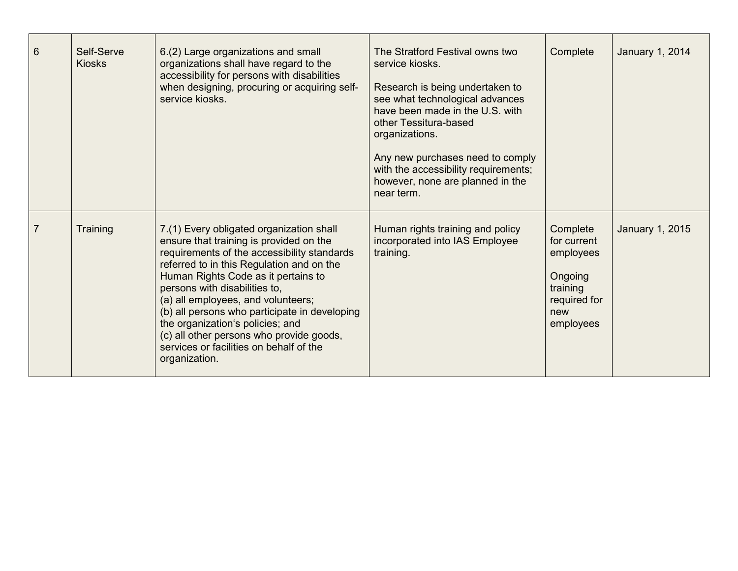| $6\phantom{1}$ | Self-Serve<br><b>Kiosks</b> | 6.(2) Large organizations and small<br>organizations shall have regard to the<br>accessibility for persons with disabilities<br>when designing, procuring or acquiring self-<br>service kiosks.                                                                                                                                                                                                                                                                                            | The Stratford Festival owns two<br>service kiosks.<br>Research is being undertaken to<br>see what technological advances<br>have been made in the U.S. with<br>other Tessitura-based<br>organizations.<br>Any new purchases need to comply<br>with the accessibility requirements;<br>however, none are planned in the<br>near term. | Complete                                                                                        | January 1, 2014 |
|----------------|-----------------------------|--------------------------------------------------------------------------------------------------------------------------------------------------------------------------------------------------------------------------------------------------------------------------------------------------------------------------------------------------------------------------------------------------------------------------------------------------------------------------------------------|--------------------------------------------------------------------------------------------------------------------------------------------------------------------------------------------------------------------------------------------------------------------------------------------------------------------------------------|-------------------------------------------------------------------------------------------------|-----------------|
| $\overline{7}$ | Training                    | 7.(1) Every obligated organization shall<br>ensure that training is provided on the<br>requirements of the accessibility standards<br>referred to in this Regulation and on the<br>Human Rights Code as it pertains to<br>persons with disabilities to,<br>(a) all employees, and volunteers;<br>(b) all persons who participate in developing<br>the organization's policies; and<br>(c) all other persons who provide goods,<br>services or facilities on behalf of the<br>organization. | Human rights training and policy<br>incorporated into IAS Employee<br>training.                                                                                                                                                                                                                                                      | Complete<br>for current<br>employees<br>Ongoing<br>training<br>required for<br>new<br>employees | January 1, 2015 |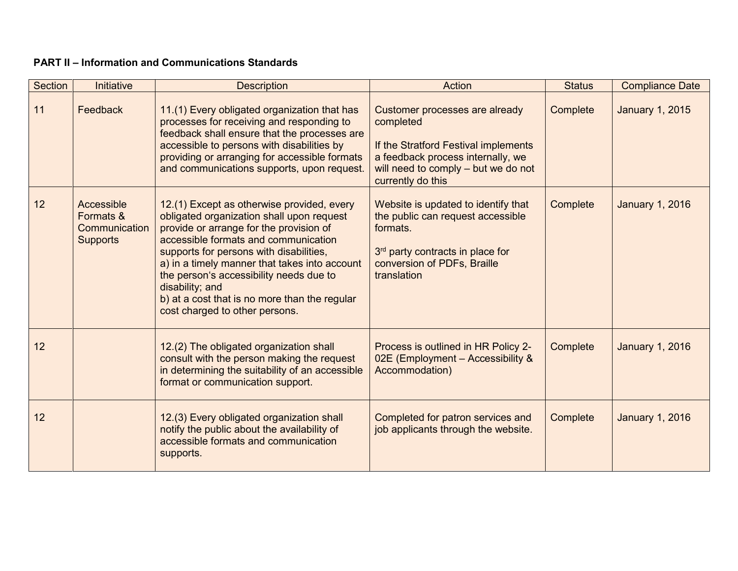### **PART II – Information and Communications Standards**

| Section | <b>Initiative</b>                                           | <b>Description</b>                                                                                                                                                                                                                                                                                                                                                                                                      | Action                                                                                                                                                                               | <b>Status</b> | <b>Compliance Date</b> |
|---------|-------------------------------------------------------------|-------------------------------------------------------------------------------------------------------------------------------------------------------------------------------------------------------------------------------------------------------------------------------------------------------------------------------------------------------------------------------------------------------------------------|--------------------------------------------------------------------------------------------------------------------------------------------------------------------------------------|---------------|------------------------|
| 11      | Feedback                                                    | 11.(1) Every obligated organization that has<br>processes for receiving and responding to<br>feedback shall ensure that the processes are<br>accessible to persons with disabilities by<br>providing or arranging for accessible formats<br>and communications supports, upon request.                                                                                                                                  | Customer processes are already<br>completed<br>If the Stratford Festival implements<br>a feedback process internally, we<br>will need to comply - but we do not<br>currently do this | Complete      | <b>January 1, 2015</b> |
| 12      | Accessible<br>Formats &<br>Communication<br><b>Supports</b> | 12.(1) Except as otherwise provided, every<br>obligated organization shall upon request<br>provide or arrange for the provision of<br>accessible formats and communication<br>supports for persons with disabilities,<br>a) in a timely manner that takes into account<br>the person's accessibility needs due to<br>disability; and<br>b) at a cost that is no more than the regular<br>cost charged to other persons. | Website is updated to identify that<br>the public can request accessible<br>formats.<br>3rd party contracts in place for<br>conversion of PDFs, Braille<br>translation               | Complete      | <b>January 1, 2016</b> |
| 12      |                                                             | 12.(2) The obligated organization shall<br>consult with the person making the request<br>in determining the suitability of an accessible<br>format or communication support.                                                                                                                                                                                                                                            | Process is outlined in HR Policy 2-<br>02E (Employment - Accessibility $\&$<br>Accommodation)                                                                                        | Complete      | <b>January 1, 2016</b> |
| 12      |                                                             | 12.(3) Every obligated organization shall<br>notify the public about the availability of<br>accessible formats and communication<br>supports.                                                                                                                                                                                                                                                                           | Completed for patron services and<br>job applicants through the website.                                                                                                             | Complete      | <b>January 1, 2016</b> |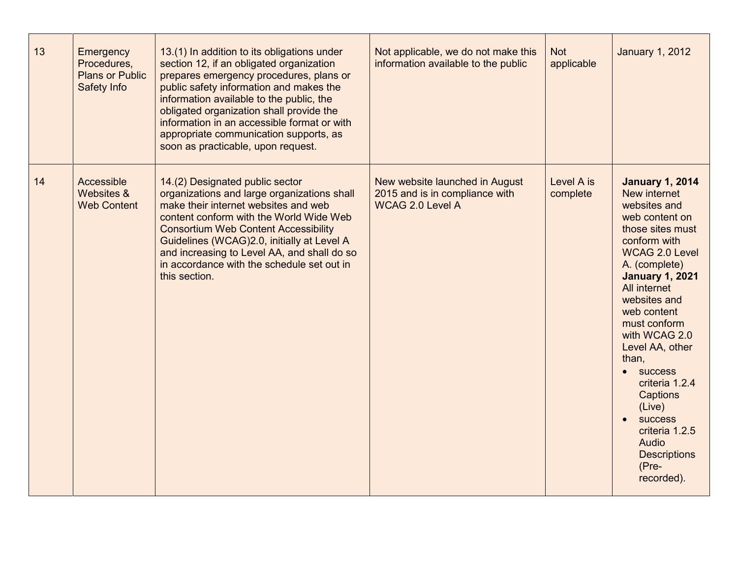| 13 | Emergency<br>Procedures,<br><b>Plans or Public</b><br>Safety Info | 13.(1) In addition to its obligations under<br>section 12, if an obligated organization<br>prepares emergency procedures, plans or<br>public safety information and makes the<br>information available to the public, the<br>obligated organization shall provide the<br>information in an accessible format or with<br>appropriate communication supports, as<br>soon as practicable, upon request. | Not applicable, we do not make this<br>information available to the public                  | <b>Not</b><br>applicable | <b>January 1, 2012</b>                                                                                                                                                                                                                                                                                                                                                                                                                            |
|----|-------------------------------------------------------------------|------------------------------------------------------------------------------------------------------------------------------------------------------------------------------------------------------------------------------------------------------------------------------------------------------------------------------------------------------------------------------------------------------|---------------------------------------------------------------------------------------------|--------------------------|---------------------------------------------------------------------------------------------------------------------------------------------------------------------------------------------------------------------------------------------------------------------------------------------------------------------------------------------------------------------------------------------------------------------------------------------------|
| 14 | Accessible<br>Websites &<br><b>Web Content</b>                    | 14.(2) Designated public sector<br>organizations and large organizations shall<br>make their internet websites and web<br>content conform with the World Wide Web<br><b>Consortium Web Content Accessibility</b><br>Guidelines (WCAG)2.0, initially at Level A<br>and increasing to Level AA, and shall do so<br>in accordance with the schedule set out in<br>this section.                         | New website launched in August<br>2015 and is in compliance with<br><b>WCAG 2.0 Level A</b> | Level A is<br>complete   | <b>January 1, 2014</b><br>New internet<br>websites and<br>web content on<br>those sites must<br>conform with<br><b>WCAG 2.0 Level</b><br>A. (complete)<br><b>January 1, 2021</b><br>All internet<br>websites and<br>web content<br>must conform<br>with WCAG 2.0<br>Level AA, other<br>than,<br><b>SUCCESS</b><br>criteria 1.2.4<br>Captions<br>(Live)<br><b>success</b><br>criteria 1.2.5<br>Audio<br><b>Descriptions</b><br>(Pre-<br>recorded). |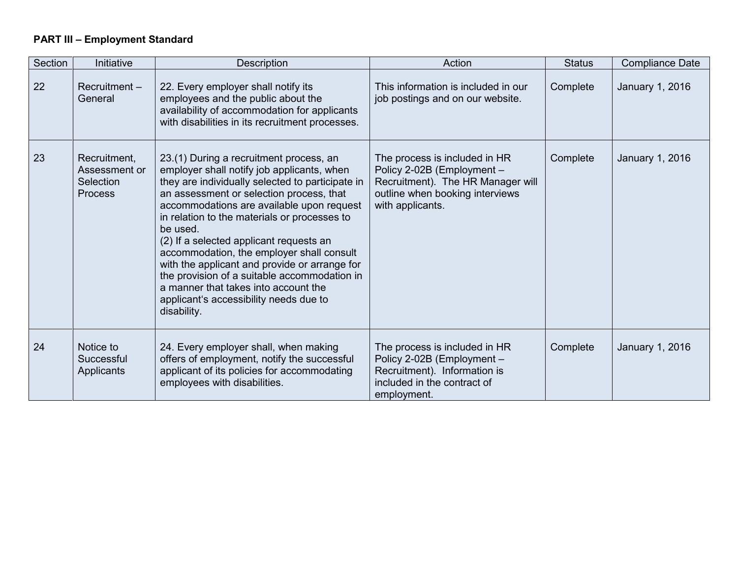# **PART III – Employment Standard**

| Section | Initiative                                                   | Description                                                                                                                                                                                                                                                                                                                                                                                                                                                                                                                                                                              | Action                                                                                                                                                  | <b>Status</b> | <b>Compliance Date</b> |
|---------|--------------------------------------------------------------|------------------------------------------------------------------------------------------------------------------------------------------------------------------------------------------------------------------------------------------------------------------------------------------------------------------------------------------------------------------------------------------------------------------------------------------------------------------------------------------------------------------------------------------------------------------------------------------|---------------------------------------------------------------------------------------------------------------------------------------------------------|---------------|------------------------|
| 22      | $Recruitment -$<br>General                                   | 22. Every employer shall notify its<br>employees and the public about the<br>availability of accommodation for applicants<br>with disabilities in its recruitment processes.                                                                                                                                                                                                                                                                                                                                                                                                             | This information is included in our<br>job postings and on our website.                                                                                 | Complete      | January 1, 2016        |
| 23      | Recruitment,<br>Assessment or<br>Selection<br><b>Process</b> | 23.(1) During a recruitment process, an<br>employer shall notify job applicants, when<br>they are individually selected to participate in<br>an assessment or selection process, that<br>accommodations are available upon request<br>in relation to the materials or processes to<br>be used.<br>(2) If a selected applicant requests an<br>accommodation, the employer shall consult<br>with the applicant and provide or arrange for<br>the provision of a suitable accommodation in<br>a manner that takes into account the<br>applicant's accessibility needs due to<br>disability. | The process is included in HR<br>Policy 2-02B (Employment -<br>Recruitment). The HR Manager will<br>outline when booking interviews<br>with applicants. | Complete      | January 1, 2016        |
| 24      | Notice to<br>Successful<br>Applicants                        | 24. Every employer shall, when making<br>offers of employment, notify the successful<br>applicant of its policies for accommodating<br>employees with disabilities.                                                                                                                                                                                                                                                                                                                                                                                                                      | The process is included in HR<br>Policy 2-02B (Employment -<br>Recruitment). Information is<br>included in the contract of<br>employment.               | Complete      | January 1, 2016        |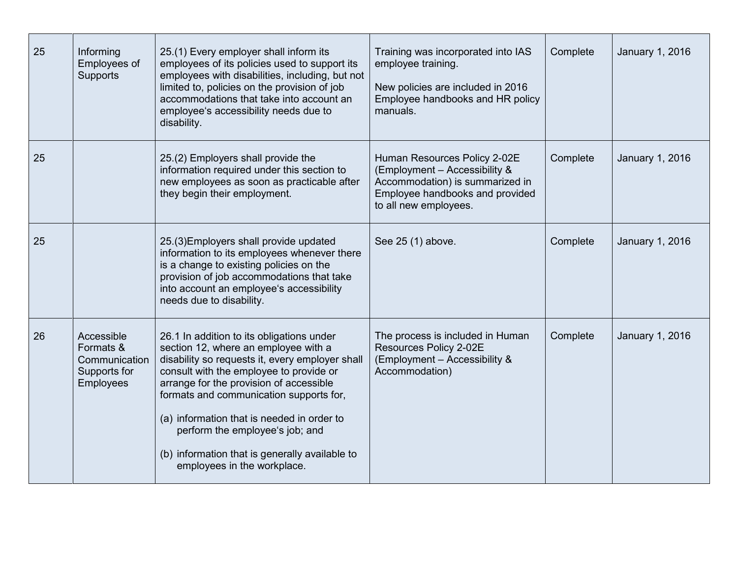| 25 | Informing<br>Employees of<br><b>Supports</b>                                 | 25.(1) Every employer shall inform its<br>employees of its policies used to support its<br>employees with disabilities, including, but not<br>limited to, policies on the provision of job<br>accommodations that take into account an<br>employee's accessibility needs due to<br>disability.                                                                                                                                          | Training was incorporated into IAS<br>employee training.<br>New policies are included in 2016<br>Employee handbooks and HR policy<br>manuals.                | Complete | <b>January 1, 2016</b> |
|----|------------------------------------------------------------------------------|-----------------------------------------------------------------------------------------------------------------------------------------------------------------------------------------------------------------------------------------------------------------------------------------------------------------------------------------------------------------------------------------------------------------------------------------|--------------------------------------------------------------------------------------------------------------------------------------------------------------|----------|------------------------|
| 25 |                                                                              | 25.(2) Employers shall provide the<br>information required under this section to<br>new employees as soon as practicable after<br>they begin their employment.                                                                                                                                                                                                                                                                          | Human Resources Policy 2-02E<br>(Employment - Accessibility &<br>Accommodation) is summarized in<br>Employee handbooks and provided<br>to all new employees. | Complete | January 1, 2016        |
| 25 |                                                                              | 25.(3) Employers shall provide updated<br>information to its employees whenever there<br>is a change to existing policies on the<br>provision of job accommodations that take<br>into account an employee's accessibility<br>needs due to disability.                                                                                                                                                                                   | See 25 (1) above.                                                                                                                                            | Complete | January 1, 2016        |
| 26 | Accessible<br>Formats &<br>Communication<br>Supports for<br><b>Employees</b> | 26.1 In addition to its obligations under<br>section 12, where an employee with a<br>disability so requests it, every employer shall<br>consult with the employee to provide or<br>arrange for the provision of accessible<br>formats and communication supports for,<br>(a) information that is needed in order to<br>perform the employee's job; and<br>(b) information that is generally available to<br>employees in the workplace. | The process is included in Human<br>Resources Policy 2-02E<br>(Employment - Accessibility &<br>Accommodation)                                                | Complete | <b>January 1, 2016</b> |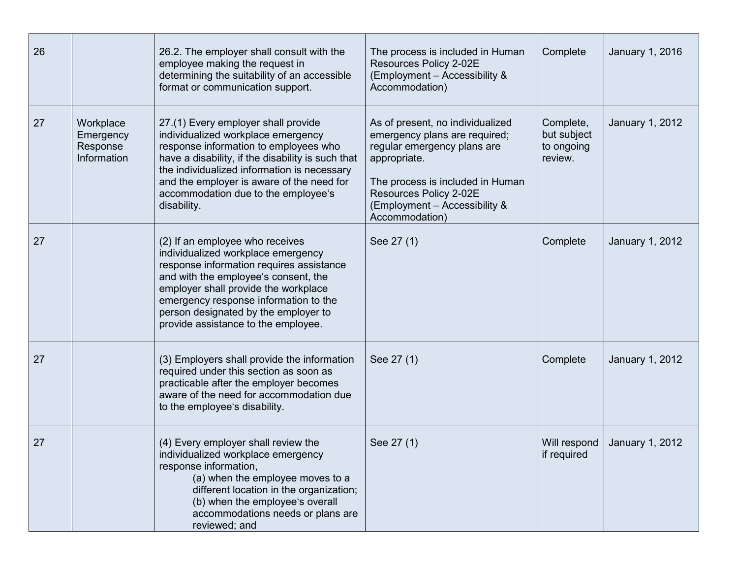| 26 |                                                   | 26.2. The employer shall consult with the<br>employee making the request in<br>determining the suitability of an accessible<br>format or communication support.                                                                                                                                                           | The process is included in Human<br>Resources Policy 2-02E<br>(Employment - Accessibility &<br>Accommodation)                                                                                                                     | Complete                                          | January 1, 2016        |
|----|---------------------------------------------------|---------------------------------------------------------------------------------------------------------------------------------------------------------------------------------------------------------------------------------------------------------------------------------------------------------------------------|-----------------------------------------------------------------------------------------------------------------------------------------------------------------------------------------------------------------------------------|---------------------------------------------------|------------------------|
| 27 | Workplace<br>Emergency<br>Response<br>Information | 27.(1) Every employer shall provide<br>individualized workplace emergency<br>response information to employees who<br>have a disability, if the disability is such that<br>the individualized information is necessary<br>and the employer is aware of the need for<br>accommodation due to the employee's<br>disability. | As of present, no individualized<br>emergency plans are required;<br>regular emergency plans are<br>appropriate.<br>The process is included in Human<br>Resources Policy 2-02E<br>(Employment - Accessibility &<br>Accommodation) | Complete,<br>but subject<br>to ongoing<br>review. | <b>January 1, 2012</b> |
| 27 |                                                   | (2) If an employee who receives<br>individualized workplace emergency<br>response information requires assistance<br>and with the employee's consent, the<br>employer shall provide the workplace<br>emergency response information to the<br>person designated by the employer to<br>provide assistance to the employee. | See 27 (1)                                                                                                                                                                                                                        | Complete                                          | <b>January 1, 2012</b> |
| 27 |                                                   | (3) Employers shall provide the information<br>required under this section as soon as<br>practicable after the employer becomes<br>aware of the need for accommodation due<br>to the employee's disability.                                                                                                               | See 27 (1)                                                                                                                                                                                                                        | Complete                                          | <b>January 1, 2012</b> |
| 27 |                                                   | (4) Every employer shall review the<br>individualized workplace emergency<br>response information,<br>(a) when the employee moves to a<br>different location in the organization;<br>(b) when the employee's overall<br>accommodations needs or plans are<br>reviewed; and                                                | See 27 (1)                                                                                                                                                                                                                        | Will respond<br>if required                       | <b>January 1, 2012</b> |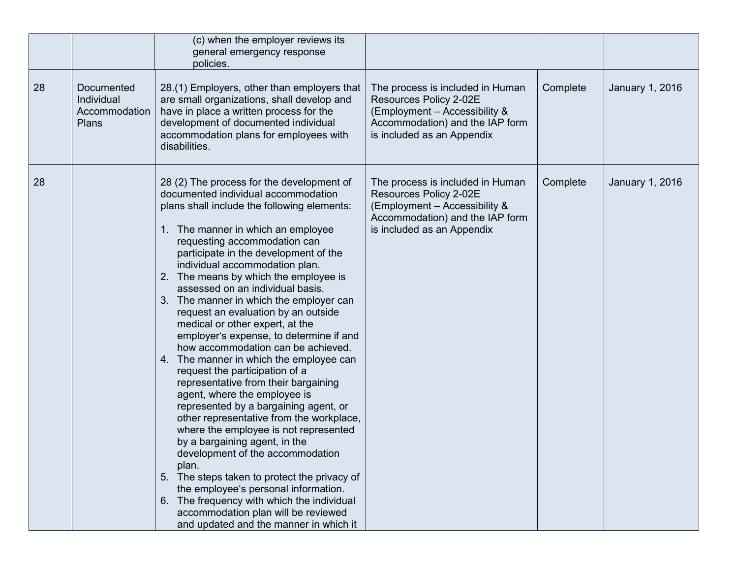|    |                                                    | (c) when the employer reviews its<br>general emergency response<br>policies.                                                                                                                                                                                                                                                                                                                                                                                                                                                                                                                                                                                                                                                                                                                                                                                                                                                                                                                                                                                                                                                                                |                                                                                                                                                              |          |                 |
|----|----------------------------------------------------|-------------------------------------------------------------------------------------------------------------------------------------------------------------------------------------------------------------------------------------------------------------------------------------------------------------------------------------------------------------------------------------------------------------------------------------------------------------------------------------------------------------------------------------------------------------------------------------------------------------------------------------------------------------------------------------------------------------------------------------------------------------------------------------------------------------------------------------------------------------------------------------------------------------------------------------------------------------------------------------------------------------------------------------------------------------------------------------------------------------------------------------------------------------|--------------------------------------------------------------------------------------------------------------------------------------------------------------|----------|-----------------|
| 28 | Documented<br>Individual<br>Accommodation<br>Plans | 28.(1) Employers, other than employers that<br>are small organizations, shall develop and<br>have in place a written process for the<br>development of documented individual<br>accommodation plans for employees with<br>disabilities.                                                                                                                                                                                                                                                                                                                                                                                                                                                                                                                                                                                                                                                                                                                                                                                                                                                                                                                     | The process is included in Human<br>Resources Policy 2-02E<br>(Employment - Accessibility &<br>Accommodation) and the IAP form<br>is included as an Appendix | Complete | January 1, 2016 |
| 28 |                                                    | 28 (2) The process for the development of<br>documented individual accommodation<br>plans shall include the following elements:<br>1. The manner in which an employee<br>requesting accommodation can<br>participate in the development of the<br>individual accommodation plan.<br>2. The means by which the employee is<br>assessed on an individual basis.<br>3. The manner in which the employer can<br>request an evaluation by an outside<br>medical or other expert, at the<br>employer's expense, to determine if and<br>how accommodation can be achieved.<br>4. The manner in which the employee can<br>request the participation of a<br>representative from their bargaining<br>agent, where the employee is<br>represented by a bargaining agent, or<br>other representative from the workplace,<br>where the employee is not represented<br>by a bargaining agent, in the<br>development of the accommodation<br>plan.<br>5. The steps taken to protect the privacy of<br>the employee's personal information.<br>6. The frequency with which the individual<br>accommodation plan will be reviewed<br>and updated and the manner in which it | The process is included in Human<br>Resources Policy 2-02E<br>(Employment - Accessibility &<br>Accommodation) and the IAP form<br>is included as an Appendix | Complete | January 1, 2016 |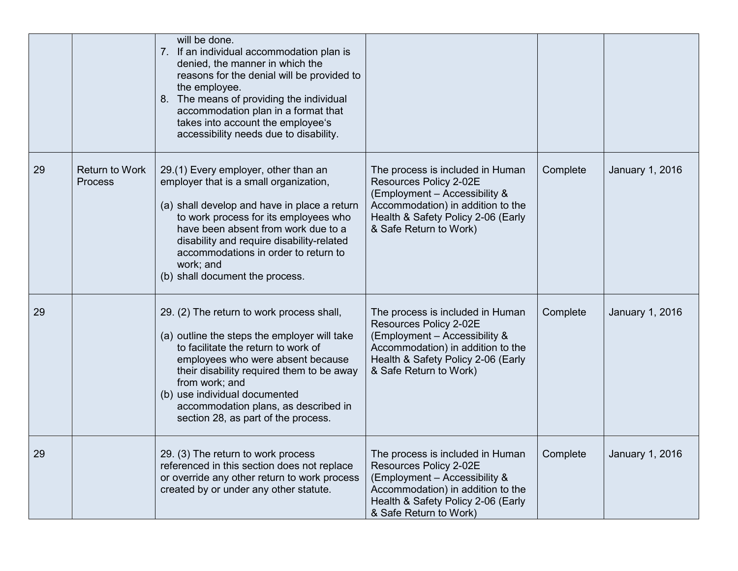|    |                                  | will be done.<br>7. If an individual accommodation plan is<br>denied, the manner in which the<br>reasons for the denial will be provided to<br>the employee.<br>8. The means of providing the individual<br>accommodation plan in a format that<br>takes into account the employee's<br>accessibility needs due to disability.                       |                                                                                                                                                                                                  |          |                 |
|----|----------------------------------|------------------------------------------------------------------------------------------------------------------------------------------------------------------------------------------------------------------------------------------------------------------------------------------------------------------------------------------------------|--------------------------------------------------------------------------------------------------------------------------------------------------------------------------------------------------|----------|-----------------|
| 29 | <b>Return to Work</b><br>Process | 29.(1) Every employer, other than an<br>employer that is a small organization,<br>(a) shall develop and have in place a return<br>to work process for its employees who<br>have been absent from work due to a<br>disability and require disability-related<br>accommodations in order to return to<br>work; and<br>(b) shall document the process.  | The process is included in Human<br>Resources Policy 2-02E<br>(Employment - Accessibility &<br>Accommodation) in addition to the<br>Health & Safety Policy 2-06 (Early<br>& Safe Return to Work) | Complete | January 1, 2016 |
| 29 |                                  | 29. (2) The return to work process shall,<br>(a) outline the steps the employer will take<br>to facilitate the return to work of<br>employees who were absent because<br>their disability required them to be away<br>from work; and<br>(b) use individual documented<br>accommodation plans, as described in<br>section 28, as part of the process. | The process is included in Human<br>Resources Policy 2-02E<br>(Employment - Accessibility &<br>Accommodation) in addition to the<br>Health & Safety Policy 2-06 (Early<br>& Safe Return to Work) | Complete | January 1, 2016 |
| 29 |                                  | 29. (3) The return to work process<br>referenced in this section does not replace<br>or override any other return to work process<br>created by or under any other statute.                                                                                                                                                                          | The process is included in Human<br>Resources Policy 2-02E<br>(Employment - Accessibility &<br>Accommodation) in addition to the<br>Health & Safety Policy 2-06 (Early<br>& Safe Return to Work) | Complete | January 1, 2016 |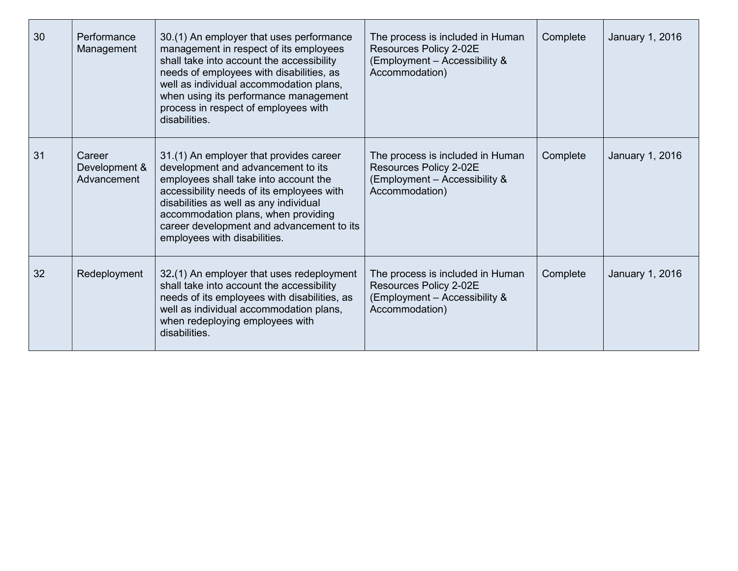| 30 | Performance<br>Management              | 30.(1) An employer that uses performance<br>management in respect of its employees<br>shall take into account the accessibility<br>needs of employees with disabilities, as<br>well as individual accommodation plans,<br>when using its performance management<br>process in respect of employees with<br>disabilities.          | The process is included in Human<br>Resources Policy 2-02E<br>(Employment - Accessibility &<br>Accommodation) | Complete | January 1, 2016 |
|----|----------------------------------------|-----------------------------------------------------------------------------------------------------------------------------------------------------------------------------------------------------------------------------------------------------------------------------------------------------------------------------------|---------------------------------------------------------------------------------------------------------------|----------|-----------------|
| 31 | Career<br>Development &<br>Advancement | 31.(1) An employer that provides career<br>development and advancement to its<br>employees shall take into account the<br>accessibility needs of its employees with<br>disabilities as well as any individual<br>accommodation plans, when providing<br>career development and advancement to its<br>employees with disabilities. | The process is included in Human<br>Resources Policy 2-02E<br>(Employment - Accessibility &<br>Accommodation) | Complete | January 1, 2016 |
| 32 | Redeployment                           | 32.(1) An employer that uses redeployment<br>shall take into account the accessibility<br>needs of its employees with disabilities, as<br>well as individual accommodation plans,<br>when redeploying employees with<br>disabilities.                                                                                             | The process is included in Human<br>Resources Policy 2-02E<br>(Employment - Accessibility &<br>Accommodation) | Complete | January 1, 2016 |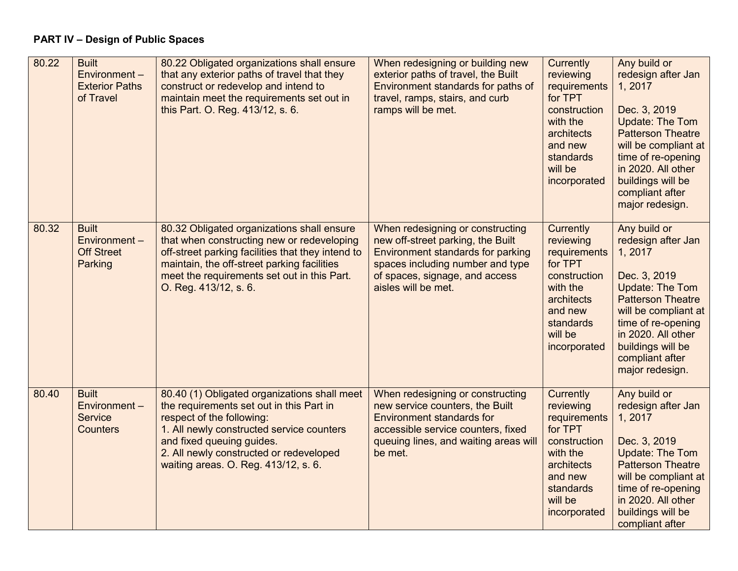# **PART IV – Design of Public Spaces**

| 80.22 | <b>Built</b><br>Environment-<br><b>Exterior Paths</b><br>of Travel | 80.22 Obligated organizations shall ensure<br>that any exterior paths of travel that they<br>construct or redevelop and intend to<br>maintain meet the requirements set out in<br>this Part. O. Reg. 413/12, s. 6.                                                                 | When redesigning or building new<br>exterior paths of travel, the Built<br>Environment standards for paths of<br>travel, ramps, stairs, and curb<br>ramps will be met.                                  | Currently<br>reviewing<br>requirements<br>for TPT<br>construction<br>with the<br>architects<br>and new<br>standards<br>will be<br>incorporated | Any build or<br>redesign after Jan<br>1, 2017<br>Dec. 3, 2019<br>Update: The Tom<br><b>Patterson Theatre</b><br>will be compliant at<br>time of re-opening<br>in 2020. All other<br>buildings will be<br>compliant after<br>major redesign.        |
|-------|--------------------------------------------------------------------|------------------------------------------------------------------------------------------------------------------------------------------------------------------------------------------------------------------------------------------------------------------------------------|---------------------------------------------------------------------------------------------------------------------------------------------------------------------------------------------------------|------------------------------------------------------------------------------------------------------------------------------------------------|----------------------------------------------------------------------------------------------------------------------------------------------------------------------------------------------------------------------------------------------------|
| 80.32 | <b>Built</b><br>Environment-<br><b>Off Street</b><br>Parking       | 80.32 Obligated organizations shall ensure<br>that when constructing new or redeveloping<br>off-street parking facilities that they intend to<br>maintain, the off-street parking facilities<br>meet the requirements set out in this Part.<br>O. Reg. 413/12, s. 6.               | When redesigning or constructing<br>new off-street parking, the Built<br>Environment standards for parking<br>spaces including number and type<br>of spaces, signage, and access<br>aisles will be met. | Currently<br>reviewing<br>requirements<br>for TPT<br>construction<br>with the<br>architects<br>and new<br>standards<br>will be<br>incorporated | Any build or<br>redesign after Jan<br>1, 2017<br>Dec. 3, 2019<br><b>Update: The Tom</b><br><b>Patterson Theatre</b><br>will be compliant at<br>time of re-opening<br>in 2020. All other<br>buildings will be<br>compliant after<br>major redesign. |
| 80.40 | <b>Built</b><br>Environment-<br><b>Service</b><br><b>Counters</b>  | 80.40 (1) Obligated organizations shall meet<br>the requirements set out in this Part in<br>respect of the following:<br>1. All newly constructed service counters<br>and fixed queuing guides.<br>2. All newly constructed or redeveloped<br>waiting areas. O. Reg. 413/12, s. 6. | When redesigning or constructing<br>new service counters, the Built<br><b>Environment standards for</b><br>accessible service counters, fixed<br>queuing lines, and waiting areas will<br>be met.       | Currently<br>reviewing<br>requirements<br>for TPT<br>construction<br>with the<br>architects<br>and new<br>standards<br>will be<br>incorporated | Any build or<br>redesign after Jan<br>1, 2017<br>Dec. 3, 2019<br>Update: The Tom<br><b>Patterson Theatre</b><br>will be compliant at<br>time of re-opening<br>in 2020. All other<br>buildings will be<br>compliant after                           |